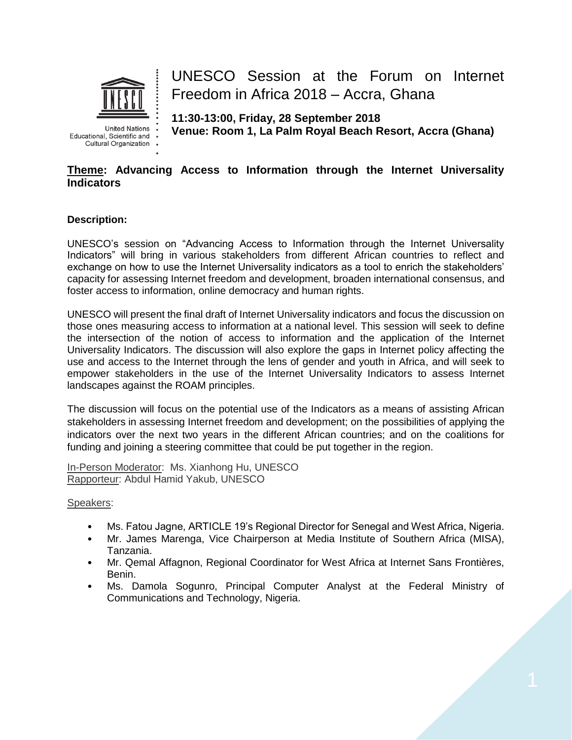

**United Nations** Educational, Scientific and . Cultural Organization

UNESCO Session at the Forum on Internet Freedom in Africa 2018 – Accra, Ghana

**11:30-13:00, Friday, 28 September 2018 Venue: Room 1, La Palm Royal Beach Resort, Accra (Ghana)**

## **Theme: Advancing Access to Information through the Internet Universality Indicators**

### **Description:**

UNESCO's session on "Advancing Access to Information through the Internet Universality Indicators" will bring in various stakeholders from different African countries to reflect and exchange on how to use the Internet Universality indicators as a tool to enrich the stakeholders' capacity for assessing Internet freedom and development, broaden international consensus, and foster access to information, online democracy and human rights.

UNESCO will present the final draft of Internet Universality indicators and focus the discussion on those ones measuring access to information at a national level. This session will seek to define the intersection of the notion of access to information and the application of the Internet Universality Indicators. The discussion will also explore the gaps in Internet policy affecting the use and access to the Internet through the lens of gender and youth in Africa, and will seek to empower stakeholders in the use of the Internet Universality Indicators to assess Internet landscapes against the ROAM principles.

The discussion will focus on the potential use of the Indicators as a means of assisting African stakeholders in assessing Internet freedom and development; on the possibilities of applying the indicators over the next two years in the different African countries; and on the coalitions for funding and joining a steering committee that could be put together in the region.

In-Person Moderator: Ms. Xianhong Hu, UNESCO Rapporteur: Abdul Hamid Yakub, UNESCO

Speakers:

- Ms. Fatou Jagne, ARTICLE 19's Regional Director for Senegal and West Africa, Nigeria.
- Mr. James Marenga, Vice Chairperson at Media Institute of Southern Africa (MISA), Tanzania.
- Mr. Qemal Affagnon, Regional Coordinator for West Africa at Internet Sans Frontières, Benin.
- Ms. Damola Sogunro, Principal Computer Analyst at the Federal Ministry of Communications and Technology, Nigeria.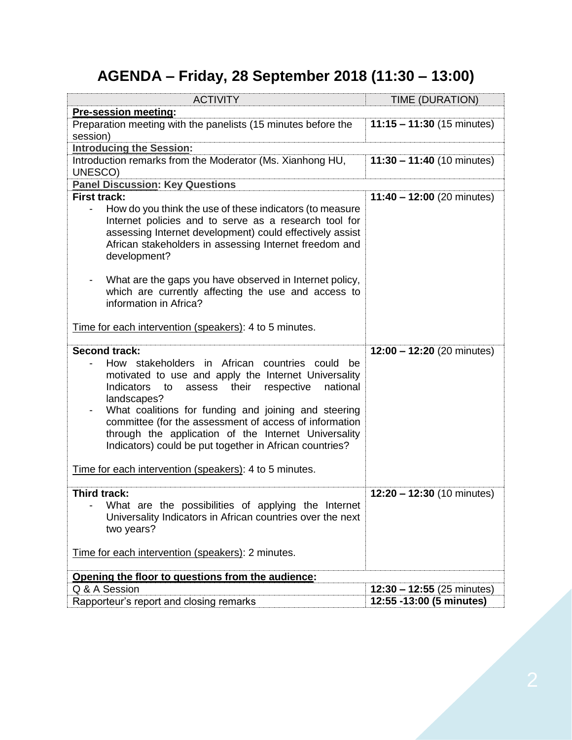# **AGENDA – Friday, 28 September 2018 (11:30 – 13:00)**

| <b>ACTIVITY</b>                                                                                                                                                                                                                                                                                                                                                                                                          | <b>TIME (DURATION)</b>       |
|--------------------------------------------------------------------------------------------------------------------------------------------------------------------------------------------------------------------------------------------------------------------------------------------------------------------------------------------------------------------------------------------------------------------------|------------------------------|
| <b>Pre-session meeting:</b>                                                                                                                                                                                                                                                                                                                                                                                              |                              |
| Preparation meeting with the panelists (15 minutes before the                                                                                                                                                                                                                                                                                                                                                            | $11:15 - 11:30$ (15 minutes) |
| session)                                                                                                                                                                                                                                                                                                                                                                                                                 |                              |
| <b>Introducing the Session:</b>                                                                                                                                                                                                                                                                                                                                                                                          |                              |
| Introduction remarks from the Moderator (Ms. Xianhong HU,<br>UNESCO)                                                                                                                                                                                                                                                                                                                                                     | $11:30 - 11:40$ (10 minutes) |
| <b>Panel Discussion: Key Questions</b>                                                                                                                                                                                                                                                                                                                                                                                   |                              |
| <b>First track:</b>                                                                                                                                                                                                                                                                                                                                                                                                      | $11:40 - 12:00$ (20 minutes) |
| How do you think the use of these indicators (to measure<br>$\blacksquare$<br>Internet policies and to serve as a research tool for<br>assessing Internet development) could effectively assist<br>African stakeholders in assessing Internet freedom and<br>development?<br>What are the gaps you have observed in Internet policy,                                                                                     |                              |
| which are currently affecting the use and access to<br>information in Africa?<br>Time for each intervention (speakers): 4 to 5 minutes.                                                                                                                                                                                                                                                                                  |                              |
| <b>Second track:</b>                                                                                                                                                                                                                                                                                                                                                                                                     | $12:00 - 12:20$ (20 minutes) |
| How stakeholders in African countries could be<br>motivated to use and apply the Internet Universality<br>Indicators<br>respective<br>national<br>assess their<br>to<br>landscapes?<br>What coalitions for funding and joining and steering<br>committee (for the assessment of access of information<br>through the application of the Internet Universality<br>Indicators) could be put together in African countries? |                              |
| Time for each intervention (speakers): 4 to 5 minutes.                                                                                                                                                                                                                                                                                                                                                                   |                              |
| Third track:<br>What are the possibilities of applying the Internet<br>Universality Indicators in African countries over the next<br>two years?                                                                                                                                                                                                                                                                          | $12:20 - 12:30$ (10 minutes) |
| Time for each intervention (speakers): 2 minutes.                                                                                                                                                                                                                                                                                                                                                                        |                              |
| Opening the floor to questions from the audience:                                                                                                                                                                                                                                                                                                                                                                        |                              |
| Q & A Session                                                                                                                                                                                                                                                                                                                                                                                                            | $12:30 - 12:55$ (25 minutes) |
| Rapporteur's report and closing remarks                                                                                                                                                                                                                                                                                                                                                                                  | 12:55 -13:00 (5 minutes)     |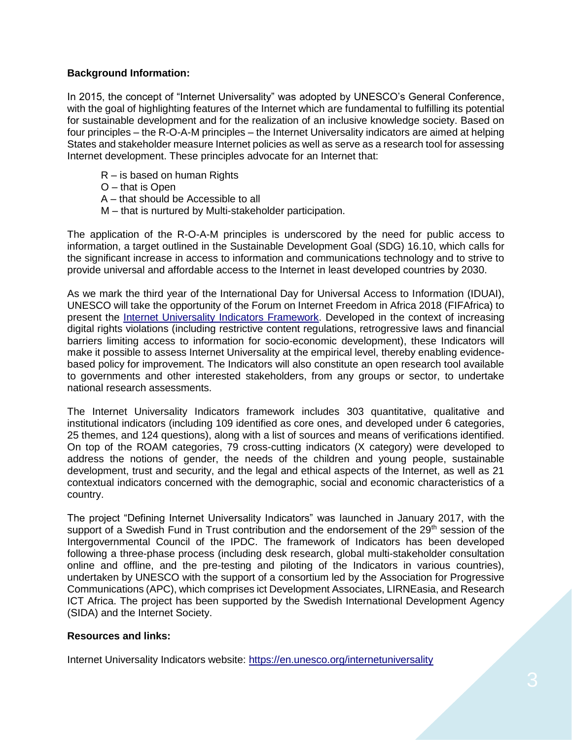# **Background Information:**

In 2015, the concept of "Internet Universality" was adopted by UNESCO's General Conference, with the goal of highlighting features of the Internet which are fundamental to fulfilling its potential for sustainable development and for the realization of an inclusive knowledge society. Based on four principles – the R-O-A-M principles – the Internet Universality indicators are aimed at helping States and stakeholder measure Internet policies as well as serve as a research tool for assessing Internet development. These principles advocate for an Internet that:

- R is based on human Rights
- O that is Open
- A that should be Accessible to all
- M that is nurtured by Multi-stakeholder participation.

The application of the R-O-A-M principles is underscored by the need for public access to information, a target outlined in the Sustainable Development Goal (SDG) 16.10, which calls for the significant increase in access to information and communications technology and to strive to provide universal and affordable access to the Internet in least developed countries by 2030.

As we mark the third year of the International Day for Universal Access to Information (IDUAI), UNESCO will take the opportunity of the Forum on Internet Freedom in Africa 2018 (FIFAfrica) to present the [Internet Universality Indicators](https://en.unesco.org/internetuniversality/) Framework. Developed in the context of increasing digital rights violations (including restrictive content regulations, retrogressive laws and financial barriers limiting access to information for socio-economic development), these Indicators will make it possible to assess Internet Universality at the empirical level, thereby enabling evidencebased policy for improvement. The Indicators will also constitute an open research tool available to governments and other interested stakeholders, from any groups or sector, to undertake national research assessments.

The Internet Universality Indicators framework includes 303 quantitative, qualitative and institutional indicators (including 109 identified as core ones, and developed under 6 categories, 25 themes, and 124 questions), along with a list of sources and means of verifications identified. On top of the ROAM categories, 79 cross-cutting indicators (X category) were developed to address the notions of gender, the needs of the children and young people, sustainable development, trust and security, and the legal and ethical aspects of the Internet, as well as 21 contextual indicators concerned with the demographic, social and economic characteristics of a country.

The project "Defining Internet Universality Indicators" was launched in January 2017, with the support of a Swedish Fund in Trust contribution and the endorsement of the 29<sup>th</sup> session of the Intergovernmental Council of the IPDC. The framework of Indicators has been developed following a three-phase process (including desk research, global multi-stakeholder consultation online and offline, and the pre-testing and piloting of the Indicators in various countries), undertaken by UNESCO with the support of a consortium led by the Association for Progressive Communications (APC), which comprises ict Development Associates, LIRNEasia, and Research ICT Africa. The project has been supported by the Swedish International Development Agency (SIDA) and the Internet Society.

### **Resources and links:**

Internet Universality Indicators website:<https://en.unesco.org/internetuniversality>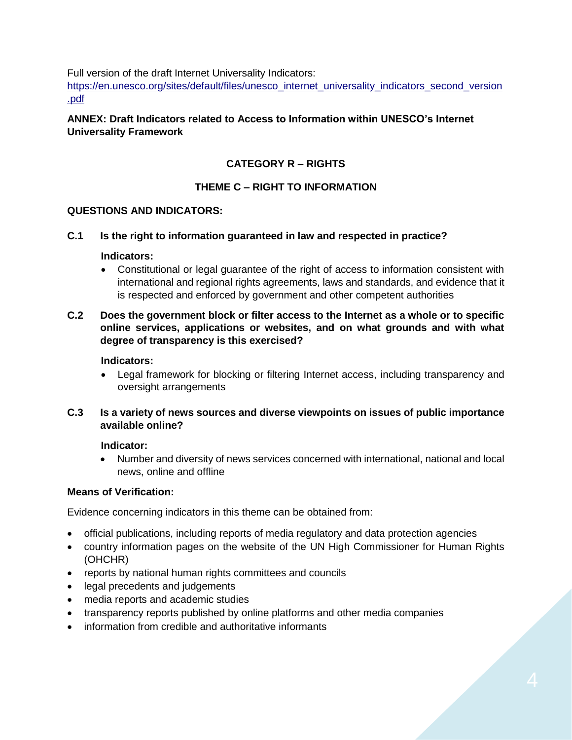Full version of the draft Internet Universality Indicators:

[https://en.unesco.org/sites/default/files/unesco\\_internet\\_universality\\_indicators\\_second\\_version](https://en.unesco.org/sites/default/files/unesco_internet_universality_indicators_second_version.pdf) [.pdf](https://en.unesco.org/sites/default/files/unesco_internet_universality_indicators_second_version.pdf)

## **ANNEX: Draft Indicators related to Access to Information within UNESCO's Internet Universality Framework**

# **CATEGORY R – RIGHTS**

# **THEME C – RIGHT TO INFORMATION**

### **QUESTIONS AND INDICATORS:**

#### **C.1 Is the right to information guaranteed in law and respected in practice?**

#### **Indicators:**

 Constitutional or legal guarantee of the right of access to information consistent with international and regional rights agreements, laws and standards, and evidence that it is respected and enforced by government and other competent authorities

## **C.2 Does the government block or filter access to the Internet as a whole or to specific online services, applications or websites, and on what grounds and with what degree of transparency is this exercised?**

#### **Indicators:**

 Legal framework for blocking or filtering Internet access, including transparency and oversight arrangements

### **C.3 Is a variety of news sources and diverse viewpoints on issues of public importance available online?**

### **Indicator:**

 Number and diversity of news services concerned with international, national and local news, online and offline

### **Means of Verification:**

Evidence concerning indicators in this theme can be obtained from:

- official publications, including reports of media regulatory and data protection agencies
- country information pages on the website of the UN High Commissioner for Human Rights (OHCHR)
- reports by national human rights committees and councils
- legal precedents and judgements
- media reports and academic studies
- transparency reports published by online platforms and other media companies
- information from credible and authoritative informants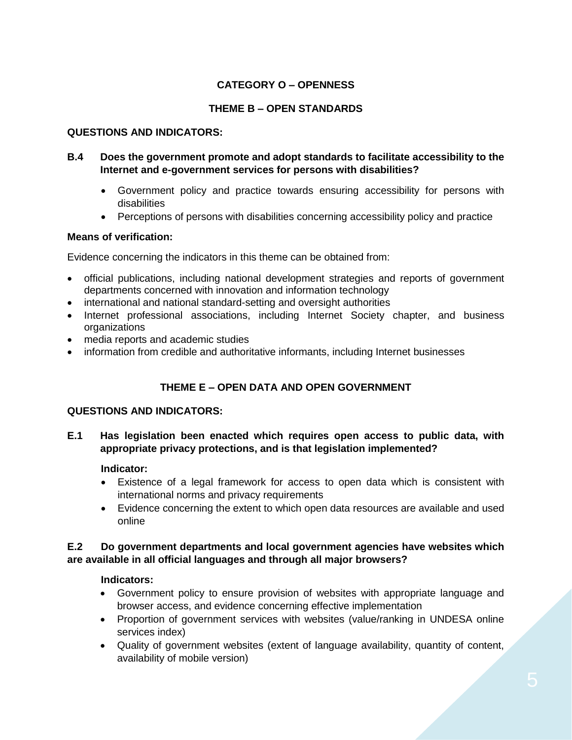# **CATEGORY O – OPENNESS**

## **THEME B – OPEN STANDARDS**

#### **QUESTIONS AND INDICATORS:**

## **B.4 Does the government promote and adopt standards to facilitate accessibility to the Internet and e-government services for persons with disabilities?**

- Government policy and practice towards ensuring accessibility for persons with disabilities
- Perceptions of persons with disabilities concerning accessibility policy and practice

### **Means of verification:**

Evidence concerning the indicators in this theme can be obtained from:

- official publications, including national development strategies and reports of government departments concerned with innovation and information technology
- international and national standard-setting and oversight authorities
- Internet professional associations, including Internet Society chapter, and business organizations
- media reports and academic studies
- information from credible and authoritative informants, including Internet businesses

# **THEME E – OPEN DATA AND OPEN GOVERNMENT**

### **QUESTIONS AND INDICATORS:**

**E.1 Has legislation been enacted which requires open access to public data, with appropriate privacy protections, and is that legislation implemented?**

#### **Indicator:**

- Existence of a legal framework for access to open data which is consistent with international norms and privacy requirements
- Evidence concerning the extent to which open data resources are available and used online

### **E.2 Do government departments and local government agencies have websites which are available in all official languages and through all major browsers?**

#### **Indicators:**

- Government policy to ensure provision of websites with appropriate language and browser access, and evidence concerning effective implementation
- Proportion of government services with websites (value/ranking in UNDESA online services index)
- Quality of government websites (extent of language availability, quantity of content, availability of mobile version)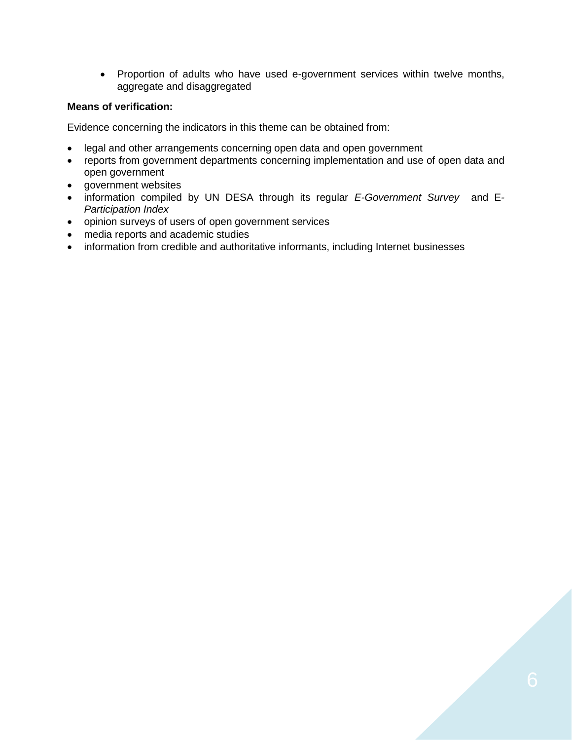Proportion of adults who have used e-government services within twelve months, aggregate and disaggregated

### **Means of verification:**

Evidence concerning the indicators in this theme can be obtained from:

- legal and other arrangements concerning open data and open government
- reports from government departments concerning implementation and use of open data and open government
- government websites
- information compiled by UN DESA through its regular *E-Government Survey* and E-*Participation Index*
- opinion surveys of users of open government services
- media reports and academic studies
- information from credible and authoritative informants, including Internet businesses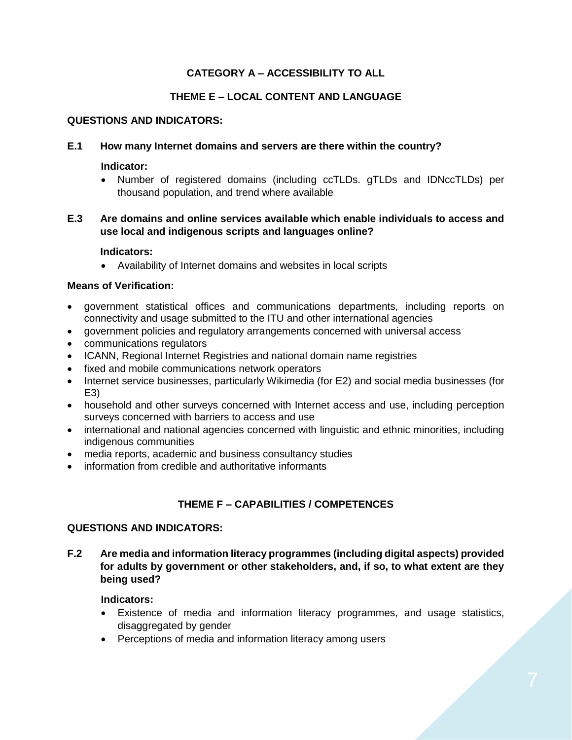# **CATEGORY A – ACCESSIBILITY TO ALL**

## **THEME E – LOCAL CONTENT AND LANGUAGE**

#### **QUESTIONS AND INDICATORS:**

#### **E.1 How many Internet domains and servers are there within the country?**

#### **Indicator:**

 Number of registered domains (including ccTLDs. gTLDs and IDNccTLDs) per thousand population, and trend where available

## **E.3 Are domains and online services available which enable individuals to access and use local and indigenous scripts and languages online?**

#### **Indicators:**

Availability of Internet domains and websites in local scripts

#### **Means of Verification:**

- government statistical offices and communications departments, including reports on connectivity and usage submitted to the ITU and other international agencies
- government policies and regulatory arrangements concerned with universal access
- communications regulators
- ICANN, Regional Internet Registries and national domain name registries
- fixed and mobile communications network operators
- Internet service businesses, particularly Wikimedia (for E2) and social media businesses (for E3)
- household and other surveys concerned with Internet access and use, including perception surveys concerned with barriers to access and use
- international and national agencies concerned with linguistic and ethnic minorities, including indigenous communities
- media reports, academic and business consultancy studies
- information from credible and authoritative informants

# **THEME F – CAPABILITIES / COMPETENCES**

#### **QUESTIONS AND INDICATORS:**

**F.2 Are media and information literacy programmes (including digital aspects) provided for adults by government or other stakeholders, and, if so, to what extent are they being used?**

### **Indicators:**

- Existence of media and information literacy programmes, and usage statistics, disaggregated by gender
- Perceptions of media and information literacy among users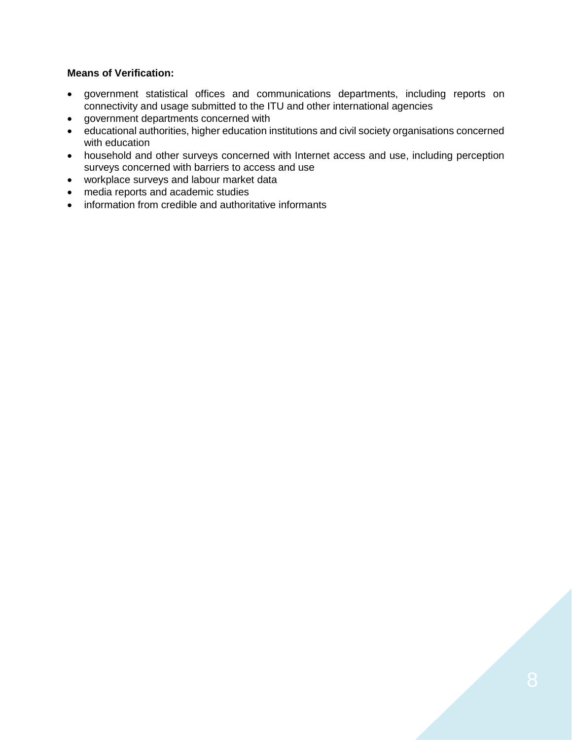#### **Means of Verification:**

- government statistical offices and communications departments, including reports on connectivity and usage submitted to the ITU and other international agencies
- government departments concerned with
- educational authorities, higher education institutions and civil society organisations concerned with education
- household and other surveys concerned with Internet access and use, including perception surveys concerned with barriers to access and use
- workplace surveys and labour market data
- media reports and academic studies
- information from credible and authoritative informants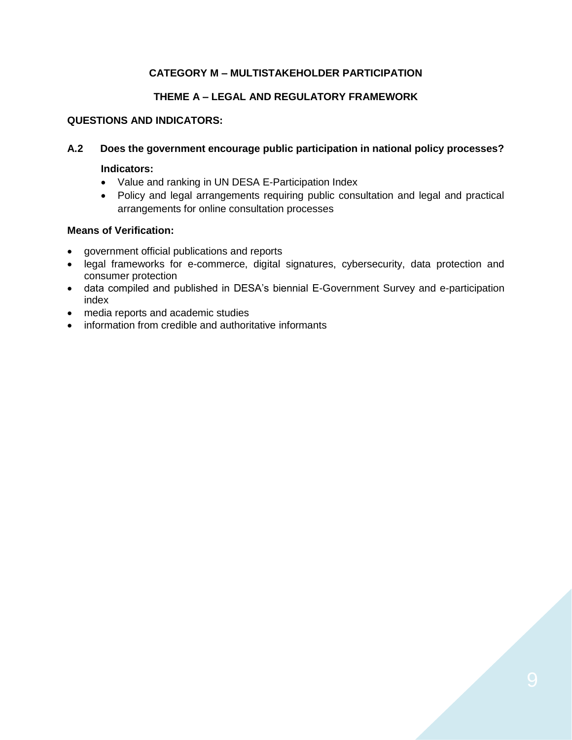# **CATEGORY M – MULTISTAKEHOLDER PARTICIPATION**

# **THEME A – LEGAL AND REGULATORY FRAMEWORK**

## **QUESTIONS AND INDICATORS:**

## **A.2 Does the government encourage public participation in national policy processes?**

#### **Indicators:**

- Value and ranking in UN DESA E-Participation Index
- Policy and legal arrangements requiring public consultation and legal and practical arrangements for online consultation processes

### **Means of Verification:**

- government official publications and reports
- legal frameworks for e-commerce, digital signatures, cybersecurity, data protection and consumer protection
- data compiled and published in DESA's biennial E-Government Survey and e-participation index
- media reports and academic studies
- information from credible and authoritative informants